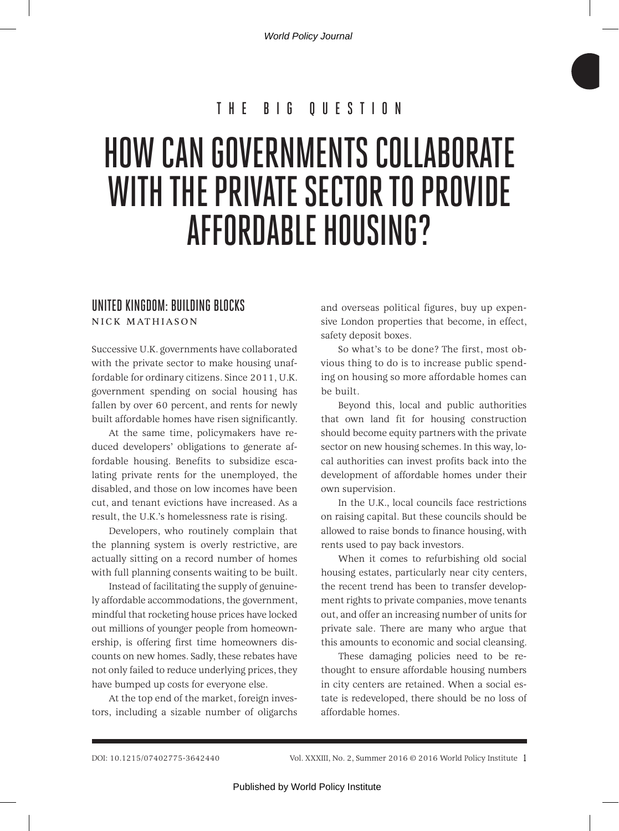World Policy Journal

# THE BIG QUESTION

# HOW CAN GOVERNMENTS COLLABORATE WITH THE PRIVATE SECTOR TO PROVIDE AFFORDABLE HOUSING?

### UNITED KINGDOM: BUILDING BLOCKS NICK MATHIASON

Successive U.K. governments have collaborated with the private sector to make housing unaffordable for ordinary citizens. Since 2011, U.K. government spending on social housing has fallen by over 60 percent, and rents for newly built affordable homes have risen significantly.

At the same time, policymakers have reduced developers' obligations to generate affordable housing. Benefits to subsidize escalating private rents for the unemployed, the disabled, and those on low incomes have been cut, and tenant evictions have increased. As a result, the U.K.'s homelessness rate is rising.

Developers, who routinely complain that the planning system is overly restrictive, are actually sitting on a record number of homes with full planning consents waiting to be built.

Instead of facilitating the supply of genuinely affordable accommodations, the government, mindful that rocketing house prices have locked out millions of younger people from homeownership, is offering first time homeowners discounts on new homes. Sadly, these rebates have not only failed to reduce underlying prices, they have bumped up costs for everyone else.

At the top end of the market, foreign investors, including a sizable number of oligarchs and overseas political figures, buy up expensive London properties that become, in effect, safety deposit boxes.

So what's to be done? The first, most obvious thing to do is to increase public spending on housing so more affordable homes can be built.

Beyond this, local and public authorities that own land fit for housing construction should become equity partners with the private sector on new housing schemes. In this way, local authorities can invest profits back into the development of affordable homes under their own supervision.

In the U.K., local councils face restrictions on raising capital. But these councils should be allowed to raise bonds to finance housing, with rents used to pay back investors.

When it comes to refurbishing old social housing estates, particularly near city centers, the recent trend has been to transfer development rights to private companies, move tenants out, and offer an increasing number of units for private sale. There are many who argue that this amounts to economic and social cleansing.

These damaging policies need to be rethought to ensure affordable housing numbers in city centers are retained. When a social estate is redeveloped, there should be no loss of affordable homes.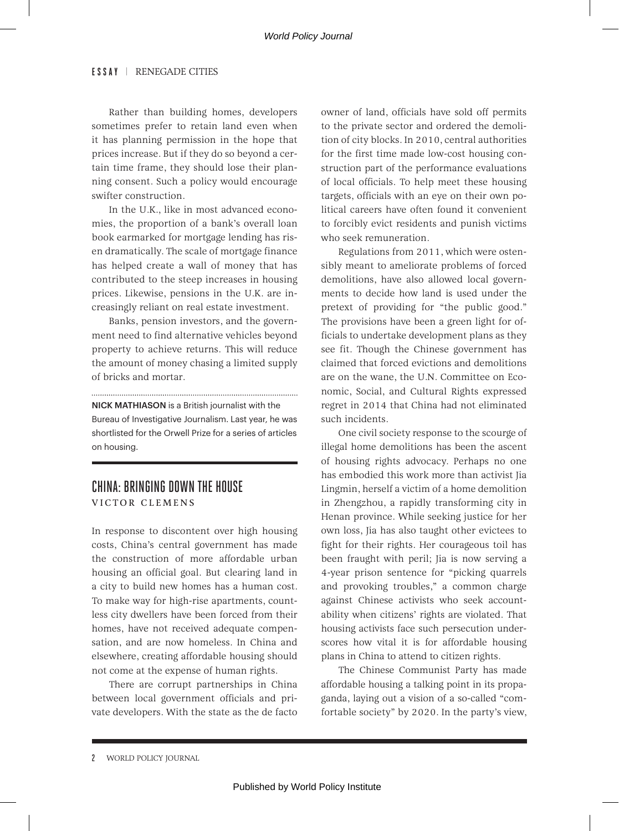Rather than building homes, developers sometimes prefer to retain land even when it has planning permission in the hope that prices increase. But if they do so beyond a certain time frame, they should lose their planning consent. Such a policy would encourage swifter construction.

In the U.K., like in most advanced economies, the proportion of a bank's overall loan book earmarked for mortgage lending has risen dramatically. The scale of mortgage finance has helped create a wall of money that has contributed to the steep increases in housing prices. Likewise, pensions in the U.K. are increasingly reliant on real estate investment.

Banks, pension investors, and the government need to find alternative vehicles beyond property to achieve returns. This will reduce the amount of money chasing a limited supply of bricks and mortar.

NICK MATHIASON is a British journalist with the Bureau of Investigative Journalism. Last year, he was shortlisted for the Orwell Prize for a series of articles on housing.

# CHINA: BRINGING DOWN THE HOUSE

VICTOR CLEMENS

In response to discontent over high housing costs, China's central government has made the construction of more affordable urban housing an official goal. But clearing land in a city to build new homes has a human cost. To make way for high-rise apartments, countless city dwellers have been forced from their homes, have not received adequate compensation, and are now homeless. In China and elsewhere, creating affordable housing should not come at the expense of human rights.

There are corrupt partnerships in China between local government officials and private developers. With the state as the de facto owner of land, officials have sold off permits to the private sector and ordered the demolition of city blocks. In 2010, central authorities for the first time made low-cost housing construction part of the performance evaluations of local officials. To help meet these housing targets, officials with an eye on their own political careers have often found it convenient to forcibly evict residents and punish victims who seek remuneration.

Regulations from 2011, which were ostensibly meant to ameliorate problems of forced demolitions, have also allowed local governments to decide how land is used under the pretext of providing for "the public good." The provisions have been a green light for officials to undertake development plans as they see fit. Though the Chinese government has claimed that forced evictions and demolitions are on the wane, the U.N. Committee on Economic, Social, and Cultural Rights expressed regret in 2014 that China had not eliminated such incidents.

One civil society response to the scourge of illegal home demolitions has been the ascent of housing rights advocacy. Perhaps no one has embodied this work more than activist Jia Lingmin, herself a victim of a home demolition in Zhengzhou, a rapidly transforming city in Henan province. While seeking justice for her own loss, Jia has also taught other evictees to fight for their rights. Her courageous toil has been fraught with peril; Jia is now serving a 4-year prison sentence for "picking quarrels and provoking troubles," a common charge against Chinese activists who seek accountability when citizens' rights are violated. That housing activists face such persecution underscores how vital it is for affordable housing plans in China to attend to citizen rights.

The Chinese Communist Party has made affordable housing a talking point in its propaganda, laying out a vision of a so-called "comfortable society" by 2020. In the party's view,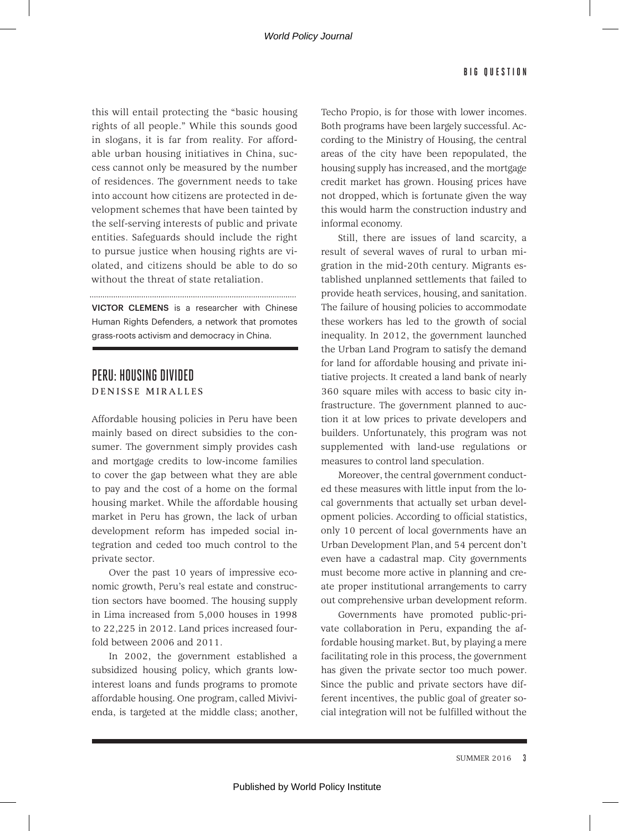this will entail protecting the "basic housing rights of all people." While this sounds good in slogans, it is far from reality. For affordable urban housing initiatives in China, success cannot only be measured by the number of residences. The government needs to take into account how citizens are protected in development schemes that have been tainted by the self-serving interests of public and private entities. Safeguards should include the right to pursue justice when housing rights are violated, and citizens should be able to do so without the threat of state retaliation.

VICTOR CLEMENS is a researcher with Chinese Human Rights Defenders, a network that promotes grass-roots activism and democracy in China.

## PERU: HOUSING DIVIDED DENISSE MIRALLES

Affordable housing policies in Peru have been mainly based on direct subsidies to the consumer. The government simply provides cash and mortgage credits to low-income families to cover the gap between what they are able to pay and the cost of a home on the formal housing market. While the affordable housing market in Peru has grown, the lack of urban development reform has impeded social integration and ceded too much control to the private sector.

Over the past 10 years of impressive economic growth, Peru's real estate and construction sectors have boomed. The housing supply in Lima increased from 5,000 houses in 1998 to 22,225 in 2012. Land prices increased fourfold between 2006 and 2011.

In 2002, the government established a subsidized housing policy, which grants lowinterest loans and funds programs to promote affordable housing. One program, called Mivivienda, is targeted at the middle class; another, Techo Propio, is for those with lower incomes. Both programs have been largely successful. According to the Ministry of Housing, the central areas of the city have been repopulated, the housing supply has increased, and the mortgage credit market has grown. Housing prices have not dropped, which is fortunate given the way this would harm the construction industry and informal economy.

Still, there are issues of land scarcity, a result of several waves of rural to urban migration in the mid-20th century. Migrants established unplanned settlements that failed to provide heath services, housing, and sanitation. The failure of housing policies to accommodate these workers has led to the growth of social inequality. In 2012, the government launched the Urban Land Program to satisfy the demand for land for affordable housing and private initiative projects. It created a land bank of nearly 360 square miles with access to basic city infrastructure. The government planned to auction it at low prices to private developers and builders. Unfortunately, this program was not supplemented with land-use regulations or measures to control land speculation.

Moreover, the central government conducted these measures with little input from the local governments that actually set urban development policies. According to official statistics, only 10 percent of local governments have an Urban Development Plan, and 54 percent don't even have a cadastral map. City governments must become more active in planning and create proper institutional arrangements to carry out comprehensive urban development reform.

Governments have promoted public-private collaboration in Peru, expanding the affordable housing market. But, by playing a mere facilitating role in this process, the government has given the private sector too much power. Since the public and private sectors have different incentives, the public goal of greater social integration will not be fulfilled without the